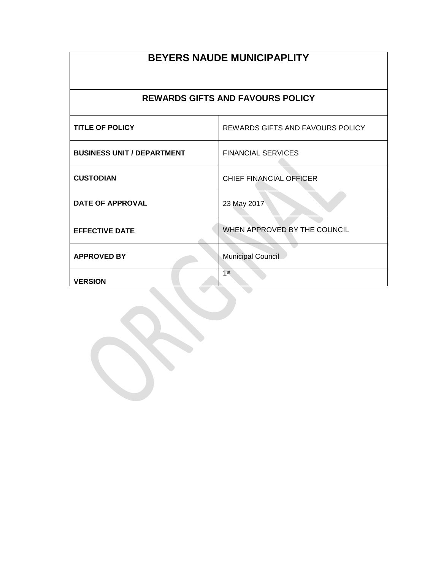## **BEYERS NAUDE MUNICIPAPLITY REWARDS GIFTS AND FAVOURS POLICY TITLE OF POLICY** REWARDS GIFTS AND FAVOURS POLICY **BUSINESS UNIT / DEPARTMENT FINANCIAL SERVICES**  $\sqrt{2}$ **CUSTODIAN** CHIEF FINANCIAL OFFICER **DATE OF APPROVAL** 23 May 2017 **EFFECTIVE DATE** WHEN APPROVED BY THE COUNCIL **APPROVED BY** Municipal Council 1 st**VERSION**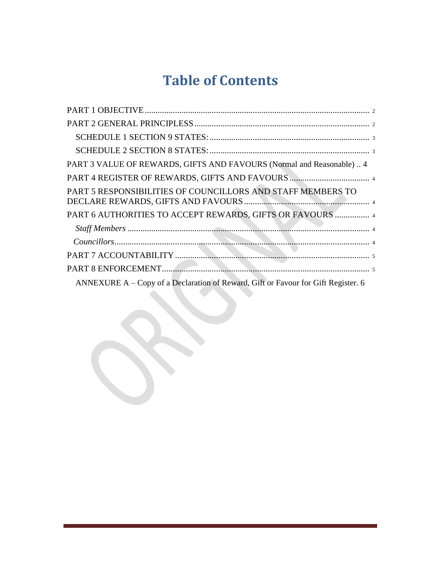## **Table of Contents**

| PART 3 VALUE OF REWARDS, GIFTS AND FAVOURS (Normal and Reasonable)  4             |
|-----------------------------------------------------------------------------------|
|                                                                                   |
| PART 5 RESPONSIBILITIES OF COUNCILLORS AND STAFF MEMBERS TO                       |
| PART 6 AUTHORITIES TO ACCEPT REWARDS, GIFTS OR FAVOURS  4                         |
|                                                                                   |
|                                                                                   |
|                                                                                   |
|                                                                                   |
| ANNEXURE A – Copy of a Declaration of Reward, Gift or Favour for Gift Register. 6 |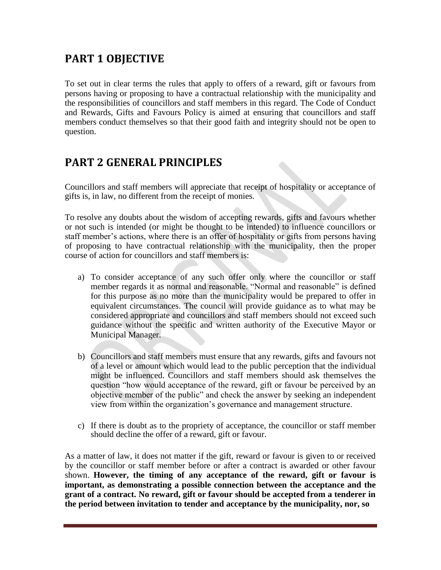## <span id="page-3-0"></span>**PART 1 OBJECTIVE**

To set out in clear terms the rules that apply to offers of a reward, gift or favours from persons having or proposing to have a contractual relationship with the municipality and the responsibilities of councillors and staff members in this regard. The Code of Conduct and Rewards, Gifts and Favours Policy is aimed at ensuring that councillors and staff members conduct themselves so that their good faith and integrity should not be open to question.

## **PART 2 GENERAL PRINCIPLES**

Councillors and staff members will appreciate that receipt of hospitality or acceptance of gifts is, in law, no different from the receipt of monies.

To resolve any doubts about the wisdom of accepting rewards, gifts and favours whether or not such is intended (or might be thought to be intended) to influence councillors or staff member's actions, where there is an offer of hospitality or gifts from persons having of proposing to have contractual relationship with the municipality, then the proper course of action for councillors and staff members is:

- a) To consider acceptance of any such offer only where the councillor or staff member regards it as normal and reasonable. "Normal and reasonable" is defined for this purpose as no more than the municipality would be prepared to offer in equivalent circumstances. The council will provide guidance as to what may be considered appropriate and councillors and staff members should not exceed such guidance without the specific and written authority of the Executive Mayor or Municipal Manager.
- b) Councillors and staff members must ensure that any rewards, gifts and favours not of a level or amount which would lead to the public perception that the individual might be influenced. Councillors and staff members should ask themselves the question "how would acceptance of the reward, gift or favour be perceived by an objective member of the public" and check the answer by seeking an independent view from within the organization's governance and management structure.
- c) If there is doubt as to the propriety of acceptance, the councillor or staff member should decline the offer of a reward, gift or favour.

As a matter of law, it does not matter if the gift, reward or favour is given to or received by the councillor or staff member before or after a contract is awarded or other favour shown. **However, the timing of any acceptance of the reward, gift or favour is important, as demonstrating a possible connection between the acceptance and the grant of a contract. No reward, gift or favour should be accepted from a tenderer in the period between invitation to tender and acceptance by the municipality, nor, so**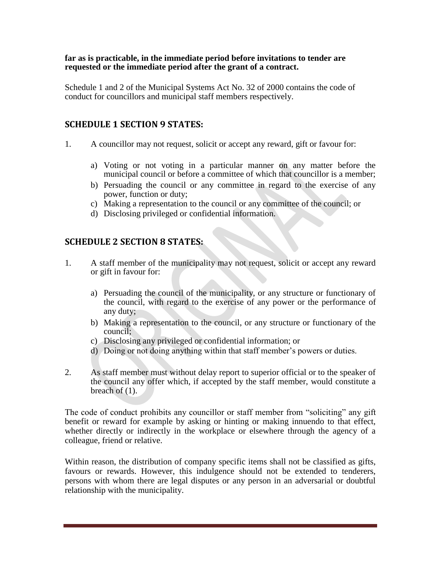#### <span id="page-5-0"></span>**far as is practicable, in the immediate period before invitations to tender are requested or the immediate period after the grant of a contract.**

Schedule 1 and 2 of the Municipal Systems Act No. 32 of 2000 contains the code of conduct for councillors and municipal staff members respectively.

#### **SCHEDULE 1 SECTION 9 STATES:**

- 1. A councillor may not request, solicit or accept any reward, gift or favour for:
	- a) Voting or not voting in a particular manner on any matter before the municipal council or before a committee of which that councillor is a member;
	- b) Persuading the council or any committee in regard to the exercise of any power, function or duty;
	- c) Making a representation to the council or any committee of the council; or
	- d) Disclosing privileged or confidential information.

#### **SCHEDULE 2 SECTION 8 STATES:**

- 1. A staff member of the municipality may not request, solicit or accept any reward or gift in favour for:
	- a) Persuading the council of the municipality, or any structure or functionary of the council, with regard to the exercise of any power or the performance of any duty;
	- b) Making a representation to the council, or any structure or functionary of the council;
	- c) Disclosing any privileged or confidential information; or
	- d) Doing or not doing anything within that staff member's powers or duties.
- 2. As staff member must without delay report to superior official or to the speaker of the council any offer which, if accepted by the staff member, would constitute a breach of (1).

The code of conduct prohibits any councillor or staff member from "soliciting" any gift benefit or reward for example by asking or hinting or making innuendo to that effect, whether directly or indirectly in the workplace or elsewhere through the agency of a colleague, friend or relative.

Within reason, the distribution of company specific items shall not be classified as gifts, favours or rewards. However, this indulgence should not be extended to tenderers, persons with whom there are legal disputes or any person in an adversarial or doubtful relationship with the municipality.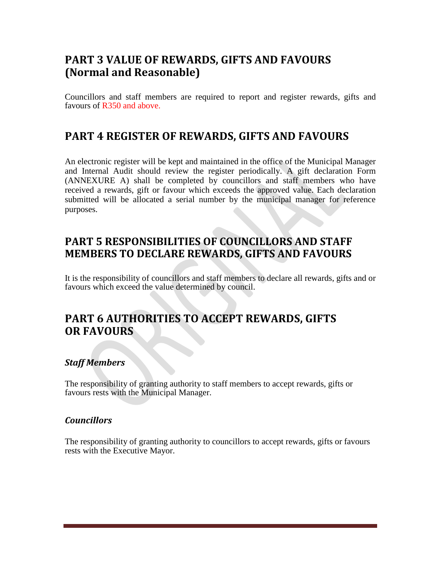## <span id="page-7-0"></span>**PART 3 VALUE OF REWARDS, GIFTS AND FAVOURS (Normal and Reasonable)**

Councillors and staff members are required to report and register rewards, gifts and favours of R350 and above.

#### **PART 4 REGISTER OF REWARDS, GIFTS AND FAVOURS**

An electronic register will be kept and maintained in the office of the Municipal Manager and Internal Audit should review the register periodically. A gift declaration Form (ANNEXURE A) shall be completed by councillors and staff members who have received a rewards, gift or favour which exceeds the approved value. Each declaration submitted will be allocated a serial number by the municipal manager for reference purposes.

### **PART 5 RESPONSIBILITIES OF COUNCILLORS AND STAFF MEMBERS TO DECLARE REWARDS, GIFTS AND FAVOURS**

It is the responsibility of councillors and staff members to declare all rewards, gifts and or favours which exceed the value determined by council.

#### **PART 6 AUTHORITIES TO ACCEPT REWARDS, GIFTS OR FAVOURS**

#### *Staff Members*

The responsibility of granting authority to staff members to accept rewards, gifts or favours rests with the Municipal Manager.

#### *Councillors*

The responsibility of granting authority to councillors to accept rewards, gifts or favours rests with the Executive Mayor.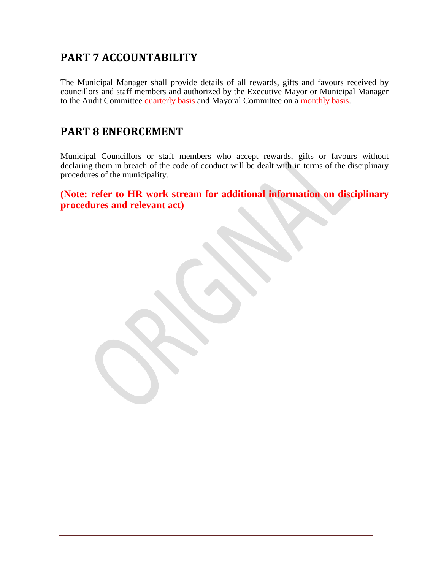## <span id="page-9-0"></span>**PART 7 ACCOUNTABILITY**

The Municipal Manager shall provide details of all rewards, gifts and favours received by councillors and staff members and authorized by the Executive Mayor or Municipal Manager to the Audit Committee quarterly basis and Mayoral Committee on a monthly basis.

#### **PART 8 ENFORCEMENT**

Municipal Councillors or staff members who accept rewards, gifts or favours without declaring them in breach of the code of conduct will be dealt with in terms of the disciplinary procedures of the municipality.

**(Note: refer to HR work stream for additional information on disciplinary procedures and relevant act)**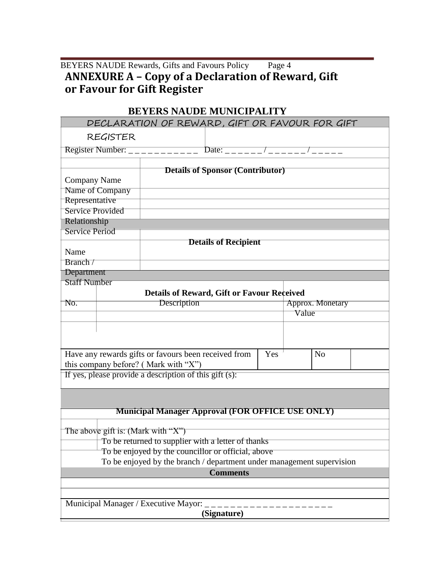#### <span id="page-10-0"></span>BEYERS NAUDE Rewards, Gifts and Favours Policy Page 4 **ANNEXURE A – Copy of a Declaration of Reward, Gift or Favour for Gift Register**

# **BEYERS NAUDE MUNICIPALITY**

| DECLARATION OF REWARD, GIFT OR FAVOUR FOR GIFT                                                    |                             |                                                             |  |  |                  |  |  |  |
|---------------------------------------------------------------------------------------------------|-----------------------------|-------------------------------------------------------------|--|--|------------------|--|--|--|
|                                                                                                   | REGISTER                    |                                                             |  |  |                  |  |  |  |
|                                                                                                   |                             | Register Number: ___________ Date: ______/_____/_____/_____ |  |  |                  |  |  |  |
|                                                                                                   |                             |                                                             |  |  |                  |  |  |  |
| <b>Details of Sponsor (Contributor)</b>                                                           |                             |                                                             |  |  |                  |  |  |  |
| <b>Company Name</b>                                                                               |                             |                                                             |  |  |                  |  |  |  |
| Name of Company                                                                                   |                             |                                                             |  |  |                  |  |  |  |
| Representative                                                                                    |                             |                                                             |  |  |                  |  |  |  |
| <b>Service Provided</b>                                                                           |                             |                                                             |  |  |                  |  |  |  |
| Relationship                                                                                      |                             |                                                             |  |  |                  |  |  |  |
|                                                                                                   | <b>Service Period</b>       |                                                             |  |  |                  |  |  |  |
|                                                                                                   | <b>Details of Recipient</b> |                                                             |  |  |                  |  |  |  |
| Name                                                                                              |                             |                                                             |  |  |                  |  |  |  |
| Branch/                                                                                           |                             |                                                             |  |  |                  |  |  |  |
| Department                                                                                        |                             |                                                             |  |  |                  |  |  |  |
| <b>Staff Number</b>                                                                               |                             |                                                             |  |  |                  |  |  |  |
| <b>Details of Reward, Gift or Favour Received</b>                                                 |                             |                                                             |  |  |                  |  |  |  |
| No.                                                                                               |                             | Description                                                 |  |  | Approx. Monetary |  |  |  |
|                                                                                                   |                             |                                                             |  |  | Value            |  |  |  |
|                                                                                                   |                             |                                                             |  |  |                  |  |  |  |
|                                                                                                   |                             |                                                             |  |  |                  |  |  |  |
| Yes<br>N <sub>o</sub>                                                                             |                             |                                                             |  |  |                  |  |  |  |
| Have any rewards gifts or favours been received from                                              |                             |                                                             |  |  |                  |  |  |  |
| this company before? (Mark with "X")<br>If yes, please provide a description of this gift $(s)$ : |                             |                                                             |  |  |                  |  |  |  |
|                                                                                                   |                             |                                                             |  |  |                  |  |  |  |
|                                                                                                   |                             |                                                             |  |  |                  |  |  |  |
|                                                                                                   |                             |                                                             |  |  |                  |  |  |  |
| <b>Municipal Manager Approval (FOR OFFICE USE ONLY)</b>                                           |                             |                                                             |  |  |                  |  |  |  |
|                                                                                                   |                             |                                                             |  |  |                  |  |  |  |
| The above gift is: (Mark with "X")                                                                |                             |                                                             |  |  |                  |  |  |  |
| To be returned to supplier with a letter of thanks                                                |                             |                                                             |  |  |                  |  |  |  |
| To be enjoyed by the councillor or official, above                                                |                             |                                                             |  |  |                  |  |  |  |
| To be enjoyed by the branch / department under management supervision                             |                             |                                                             |  |  |                  |  |  |  |
| <b>Comments</b>                                                                                   |                             |                                                             |  |  |                  |  |  |  |
|                                                                                                   |                             |                                                             |  |  |                  |  |  |  |
|                                                                                                   |                             |                                                             |  |  |                  |  |  |  |
| Municipal Manager / Executive Mayor: _                                                            |                             |                                                             |  |  |                  |  |  |  |
| (Signature)                                                                                       |                             |                                                             |  |  |                  |  |  |  |